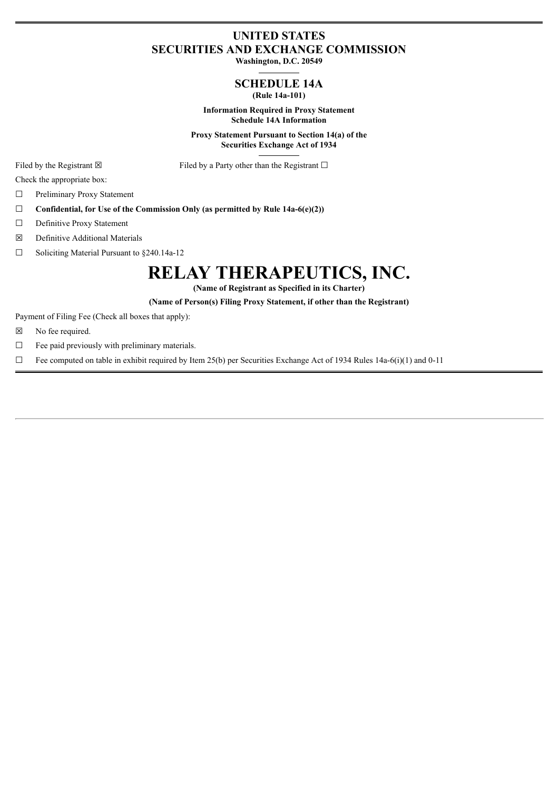## **UNITED STATES SECURITIES AND EXCHANGE COMMISSION**

**Washington, D.C. 20549**

### **SCHEDULE 14A (Rule 14a-101)**

**Information Required in Proxy Statement Schedule 14A Information**

**Proxy Statement Pursuant to Section 14(a) of the Securities Exchange Act of 1934**

Filed by the Registrant  $\boxtimes$  Filed by a Party other than the Registrant  $\Box$ 

Check the appropriate box:

☐ Preliminary Proxy Statement

- ☐ **Confidential, for Use of the Commission Only (as permitted by Rule 14a-6(e)(2))**
- □ Definitive Proxy Statement
- ☒ Definitive Additional Materials

☐ Soliciting Material Pursuant to §240.14a-12

# **RELAY THERAPEUTICS, INC.**

**(Name of Registrant as Specified in its Charter)**

**(Name of Person(s) Filing Proxy Statement, if other than the Registrant)**

Payment of Filing Fee (Check all boxes that apply):

- ☒ No fee required.
- $\Box$  Fee paid previously with preliminary materials.
- $\Box$  Fee computed on table in exhibit required by Item 25(b) per Securities Exchange Act of 1934 Rules 14a-6(i)(1) and 0-11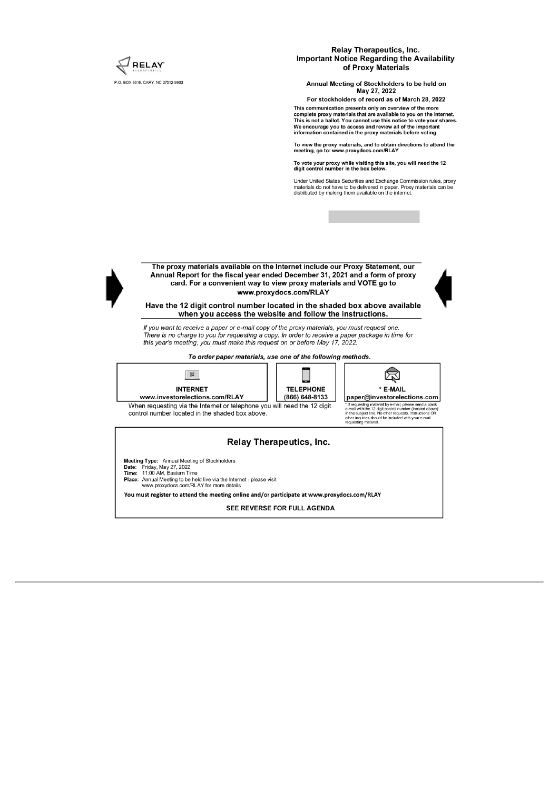

You must register to attend the meeting online and/or participate at www.proxydocs.com/RLAY

SEE REVERSE FOR FULL AGENDA